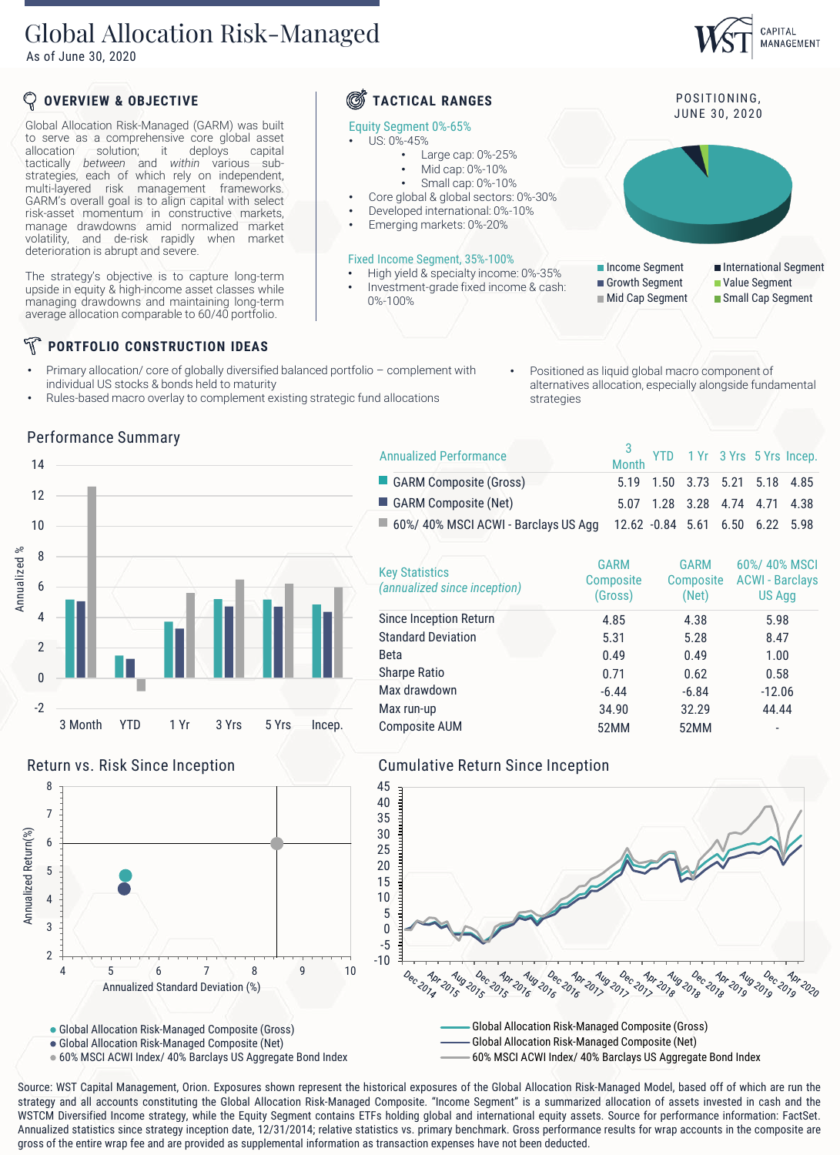## Global Allocation Risk-Managed

As of June 30, 2020



Annualized Performance

- Primary allocation/ core of globally diversified balanced portfolio complement with individual US stocks & bonds held to maturity
- Rules-based macro overlay to complement existing strategic fund allocations
- 
- Positioned as liquid global macro component of alternatives allocation, especially alongside fundamental strategies

Month YTD 1 Yr 3 Yrs 5 Yrs Incep.

CAPITAL MANAGEMENT

3





 $\blacksquare$  60%/ 40% MSCI ACWI - Barclays US Agg 12.62 -0.84 5.61 6.50 6.22 5.98 Key Statistics *(annualized since inception)* GARM **Composite** (Gross) GARM **Composite** (Net) 60%/ 40% MSCI ACWI - Barclays US Agg Since Inception Return 4.85 4.38 5.98 Standard Deviation 5.31 5.28 8.47 Beta 1.00 Sharpe Ratio **0.71** 0.62 0.58 Max drawdown -6.44 -6.84 -12.06 Max run-up 34.90 34.90 32.29 44.44

GARM Composite (Gross) 5.19 1.50 3.73 5.21 5.18 4.85 GARM Composite (Net) 5.07 1.28 3.28 4.74 4.71 4.38





Global Allocation Risk-Managed Composite (Net)

60% MSCI ACWI Index/ 40% Barclays US Aggregate Bond Index



Composite AUM 52MM 52MM 52MM



Global Allocation Risk-Managed Composite (Net)

60% MSCI ACWI Index/ 40% Barclays US Aggregate Bond Index

Source: WST Capital Management, Orion. Exposures shown represent the historical exposures of the Global Allocation Risk-Managed Model, based off of which are run the strategy and all accounts constituting the Global Allocation Risk-Managed Composite. "Income Segment" is a summarized allocation of assets invested in cash and the WSTCM Diversified Income strategy, while the Equity Segment contains ETFs holding global and international equity assets. Source for performance information: FactSet. Annualized statistics since strategy inception date, 12/31/2014; relative statistics vs. primary benchmark. Gross performance results for wrap accounts in the composite are gross of the entire wrap fee and are provided as supplemental information as transaction expenses have not been deducted.